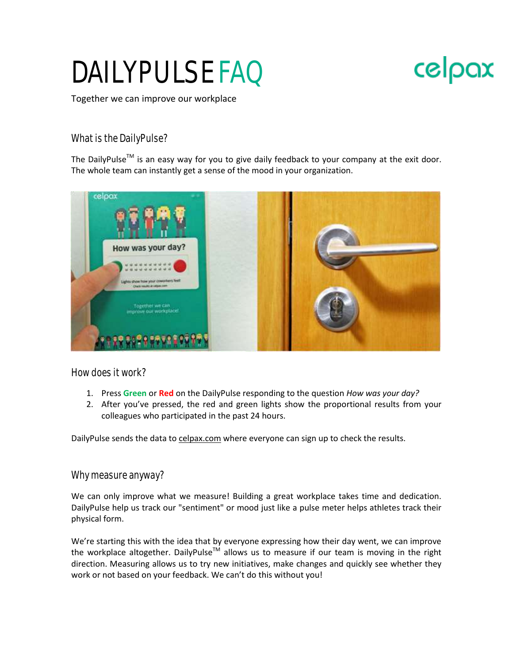# DAILYPULSE FAQ



Together we can improve our workplace

# What is the DailyPulse?

The DailyPulse<sup>TM</sup> is an easy way for you to give daily feedback to your company at the exit door. The whole team can instantly get a sense of the mood in your organization.



How does it work?

- 1. Press **Green** or **Red** on the DailyPulse responding to the question *How was your day?*
- 2. After you've pressed, the red and green lights show the proportional results from your colleagues who participated in the past 24 hours.

DailyPulse sends the data to [celpax.com](http://celpax.com/) where everyone can sign up to check the results.

# Why measure anyway?

We can only improve what we measure! Building a great workplace takes time and dedication. DailyPulse help us track our "sentiment" or mood just like a pulse meter helps athletes track their physical form.

We're starting this with the idea that by everyone expressing how their day went, we can improve the workplace altogether. DailyPulse<sup>TM</sup> allows us to measure if our team is moving in the right direction. Measuring allows us to try new initiatives, make changes and quickly see whether they work or not based on your feedback. We can't do this without you!